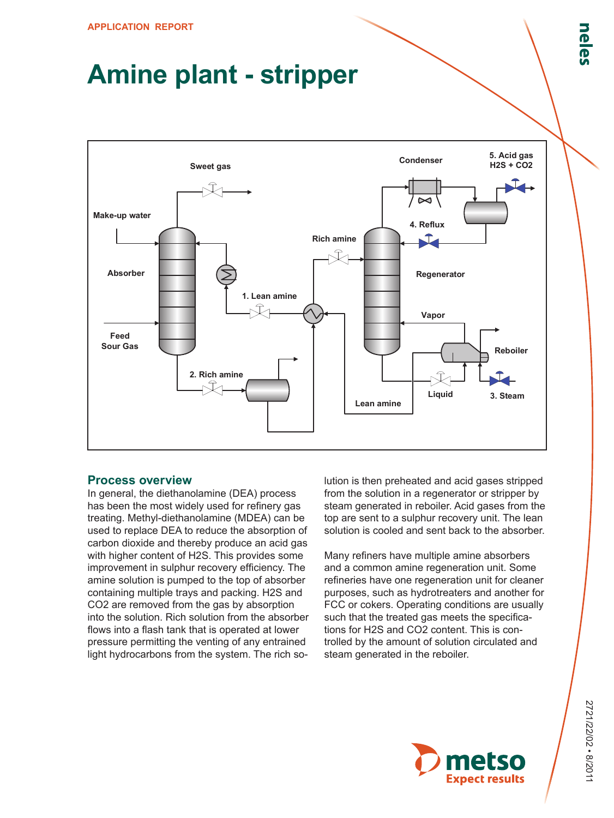# **Amine plant - stripper**



# **Process overview**

In general, the diethanolamine (DEA) process has been the most widely used for refinery gas treating. Methyl-diethanolamine (MDEA) can be used to replace DEA to reduce the absorption of carbon dioxide and thereby produce an acid gas with higher content of H2S. This provides some improvement in sulphur recovery efficiency. The amine solution is pumped to the top of absorber containing multiple trays and packing. H2S and CO2 are removed from the gas by absorption into the solution. Rich solution from the absorber flows into a flash tank that is operated at lower pressure permitting the venting of any entrained light hydrocarbons from the system. The rich solution is then preheated and acid gases stripped from the solution in a regenerator or stripper by steam generated in reboiler. Acid gases from the top are sent to a sulphur recovery unit. The lean solution is cooled and sent back to the absorber.

Many refiners have multiple amine absorbers and a common amine regeneration unit. Some refineries have one regeneration unit for cleaner purposes, such as hydrotreaters and another for FCC or cokers. Operating conditions are usually such that the treated gas meets the specifications for H2S and CO2 content. This is controlled by the amount of solution circulated and steam generated in the reboiler.

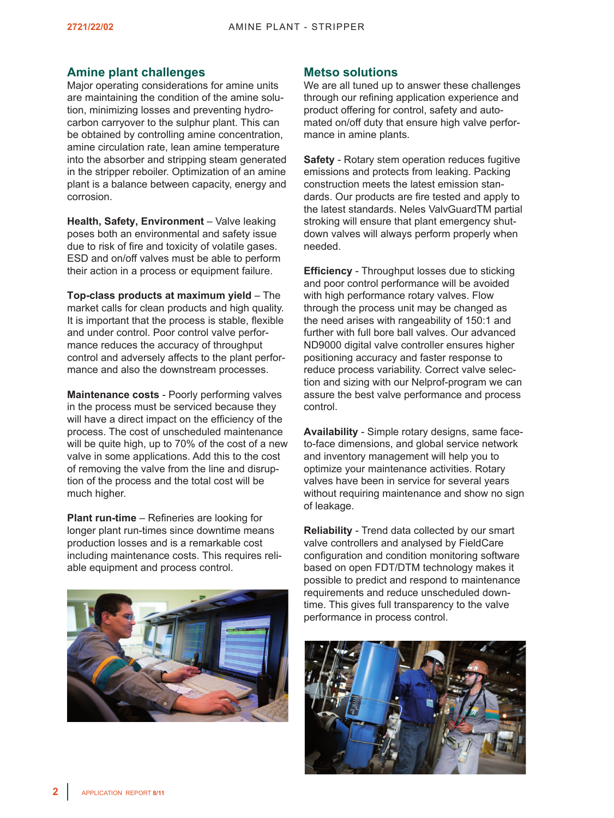# **Amine plant challenges**

Major operating considerations for amine units are maintaining the condition of the amine solution, minimizing losses and preventing hydrocarbon carryover to the sulphur plant. This can be obtained by controlling amine concentration, amine circulation rate, lean amine temperature into the absorber and stripping steam generated in the stripper reboiler. Optimization of an amine plant is a balance between capacity, energy and corrosion.

**Health, Safety, Environment** – Valve leaking poses both an environmental and safety issue due to risk of fire and toxicity of volatile gases. ESD and on/off valves must be able to perform their action in a process or equipment failure.

**Top-class products at maximum yield** – The market calls for clean products and high quality. It is important that the process is stable, flexible and under control. Poor control valve performance reduces the accuracy of throughput control and adversely affects to the plant performance and also the downstream processes.

**Maintenance costs** - Poorly performing valves in the process must be serviced because they will have a direct impact on the efficiency of the process. The cost of unscheduled maintenance will be quite high, up to 70% of the cost of a new valve in some applications. Add this to the cost of removing the valve from the line and disruption of the process and the total cost will be much higher.

**Plant run-time** – Refineries are looking for longer plant run-times since downtime means production losses and is a remarkable cost including maintenance costs. This requires reliable equipment and process control.



# **Metso solutions**

We are all tuned up to answer these challenges through our refining application experience and product offering for control, safety and automated on/off duty that ensure high valve performance in amine plants.

**Safety** - Rotary stem operation reduces fugitive emissions and protects from leaking. Packing construction meets the latest emission standards. Our products are fire tested and apply to the latest standards. Neles ValvGuardTM partial stroking will ensure that plant emergency shutdown valves will always perform properly when needed.

**Efficiency** - Throughput losses due to sticking and poor control performance will be avoided with high performance rotary valves. Flow through the process unit may be changed as the need arises with rangeability of 150:1 and further with full bore ball valves. Our advanced ND9000 digital valve controller ensures higher positioning accuracy and faster response to reduce process variability. Correct valve selection and sizing with our Nelprof-program we can assure the best valve performance and process control.

**Availability** - Simple rotary designs, same faceto-face dimensions, and global service network and inventory management will help you to optimize your maintenance activities. Rotary valves have been in service for several years without requiring maintenance and show no sign of leakage.

**Reliability** - Trend data collected by our smart valve controllers and analysed by FieldCare configuration and condition monitoring software based on open FDT/DTM technology makes it possible to predict and respond to maintenance requirements and reduce unscheduled downtime. This gives full transparency to the valve performance in process control.

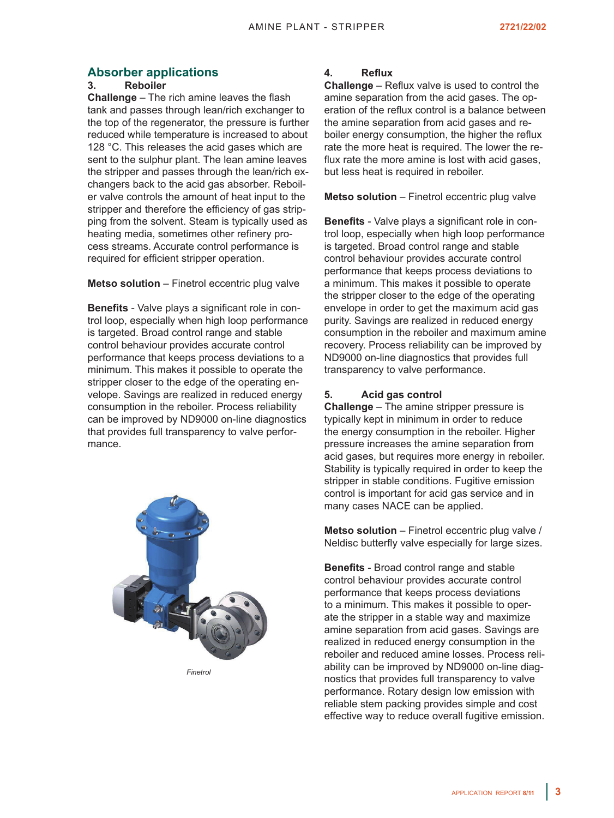# **Absorber applications**

#### **3. Reboiler**

**Challenge** – The rich amine leaves the flash tank and passes through lean/rich exchanger to the top of the regenerator, the pressure is further reduced while temperature is increased to about 128 °C. This releases the acid gases which are sent to the sulphur plant. The lean amine leaves the stripper and passes through the lean/rich exchangers back to the acid gas absorber. Reboiler valve controls the amount of heat input to the stripper and therefore the efficiency of gas stripping from the solvent. Steam is typically used as heating media, sometimes other refinery process streams. Accurate control performance is required for efficient stripper operation.

**Metso solution** – Finetrol eccentric plug valve

**Benefits** - Valve plays a significant role in control loop, especially when high loop performance is targeted. Broad control range and stable control behaviour provides accurate control performance that keeps process deviations to a minimum. This makes it possible to operate the stripper closer to the edge of the operating envelope. Savings are realized in reduced energy consumption in the reboiler. Process reliability can be improved by ND9000 on-line diagnostics that provides full transparency to valve performance.



*Finetrol*

### **4. Reflux**

**Challenge** – Reflux valve is used to control the amine separation from the acid gases. The operation of the reflux control is a balance between the amine separation from acid gases and reboiler energy consumption, the higher the reflux rate the more heat is required. The lower the reflux rate the more amine is lost with acid gases, but less heat is required in reboiler.

**Metso solution** – Finetrol eccentric plug valve

**Benefits** - Valve plays a significant role in control loop, especially when high loop performance is targeted. Broad control range and stable control behaviour provides accurate control performance that keeps process deviations to a minimum. This makes it possible to operate the stripper closer to the edge of the operating envelope in order to get the maximum acid gas purity. Savings are realized in reduced energy consumption in the reboiler and maximum amine recovery. Process reliability can be improved by ND9000 on-line diagnostics that provides full transparency to valve performance.

## **5. Acid gas control**

**Challenge** – The amine stripper pressure is typically kept in minimum in order to reduce the energy consumption in the reboiler. Higher pressure increases the amine separation from acid gases, but requires more energy in reboiler. Stability is typically required in order to keep the stripper in stable conditions. Fugitive emission control is important for acid gas service and in many cases NACE can be applied.

**Metso solution** – Finetrol eccentric plug valve / Neldisc butterfly valve especially for large sizes.

**Benefits** - Broad control range and stable control behaviour provides accurate control performance that keeps process deviations to a minimum. This makes it possible to operate the stripper in a stable way and maximize amine separation from acid gases. Savings are realized in reduced energy consumption in the reboiler and reduced amine losses. Process reliability can be improved by ND9000 on-line diagnostics that provides full transparency to valve performance. Rotary design low emission with reliable stem packing provides simple and cost effective way to reduce overall fugitive emission.